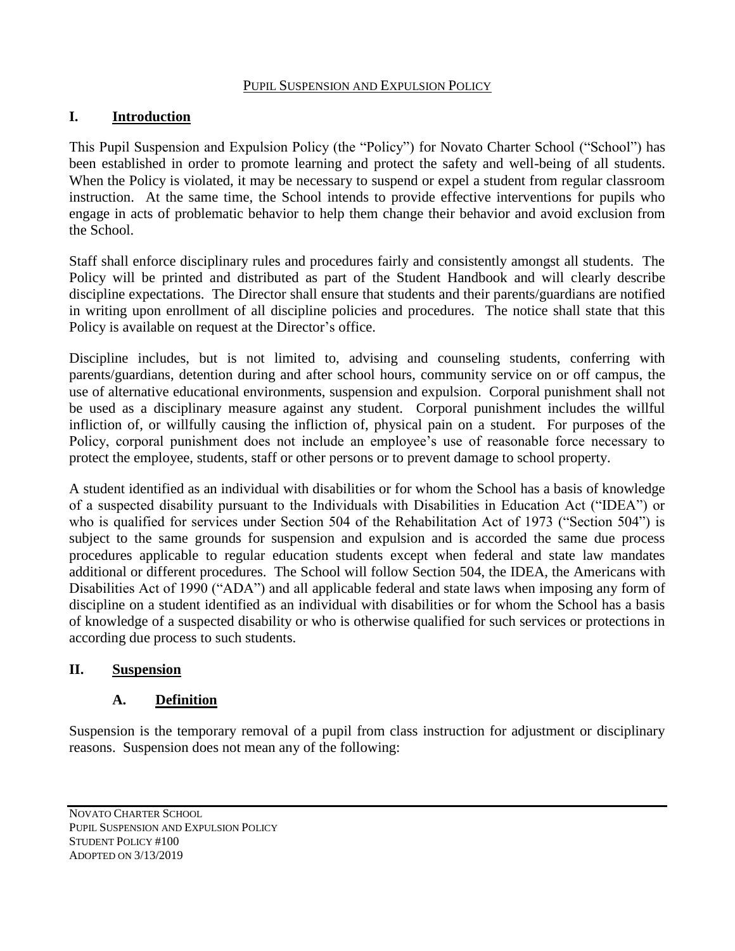#### PUPIL SUSPENSION AND EXPULSION POLICY

#### **I. Introduction**

This Pupil Suspension and Expulsion Policy (the "Policy") for Novato Charter School ("School") has been established in order to promote learning and protect the safety and well-being of all students. When the Policy is violated, it may be necessary to suspend or expel a student from regular classroom instruction. At the same time, the School intends to provide effective interventions for pupils who engage in acts of problematic behavior to help them change their behavior and avoid exclusion from the School.

Staff shall enforce disciplinary rules and procedures fairly and consistently amongst all students. The Policy will be printed and distributed as part of the Student Handbook and will clearly describe discipline expectations. The Director shall ensure that students and their parents/guardians are notified in writing upon enrollment of all discipline policies and procedures. The notice shall state that this Policy is available on request at the Director's office.

Discipline includes, but is not limited to, advising and counseling students, conferring with parents/guardians, detention during and after school hours, community service on or off campus, the use of alternative educational environments, suspension and expulsion. Corporal punishment shall not be used as a disciplinary measure against any student. Corporal punishment includes the willful infliction of, or willfully causing the infliction of, physical pain on a student. For purposes of the Policy, corporal punishment does not include an employee's use of reasonable force necessary to protect the employee, students, staff or other persons or to prevent damage to school property.

A student identified as an individual with disabilities or for whom the School has a basis of knowledge of a suspected disability pursuant to the Individuals with Disabilities in Education Act ("IDEA") or who is qualified for services under Section 504 of the Rehabilitation Act of 1973 ("Section 504") is subject to the same grounds for suspension and expulsion and is accorded the same due process procedures applicable to regular education students except when federal and state law mandates additional or different procedures. The School will follow Section 504, the IDEA, the Americans with Disabilities Act of 1990 ("ADA") and all applicable federal and state laws when imposing any form of discipline on a student identified as an individual with disabilities or for whom the School has a basis of knowledge of a suspected disability or who is otherwise qualified for such services or protections in according due process to such students.

#### **II. Suspension**

#### **A. Definition**

Suspension is the temporary removal of a pupil from class instruction for adjustment or disciplinary reasons. Suspension does not mean any of the following:

NOVATO CHARTER SCHOOL PUPIL SUSPENSION AND EXPULSION POLICY STUDENT POLICY #100 ADOPTED ON 3/13/2019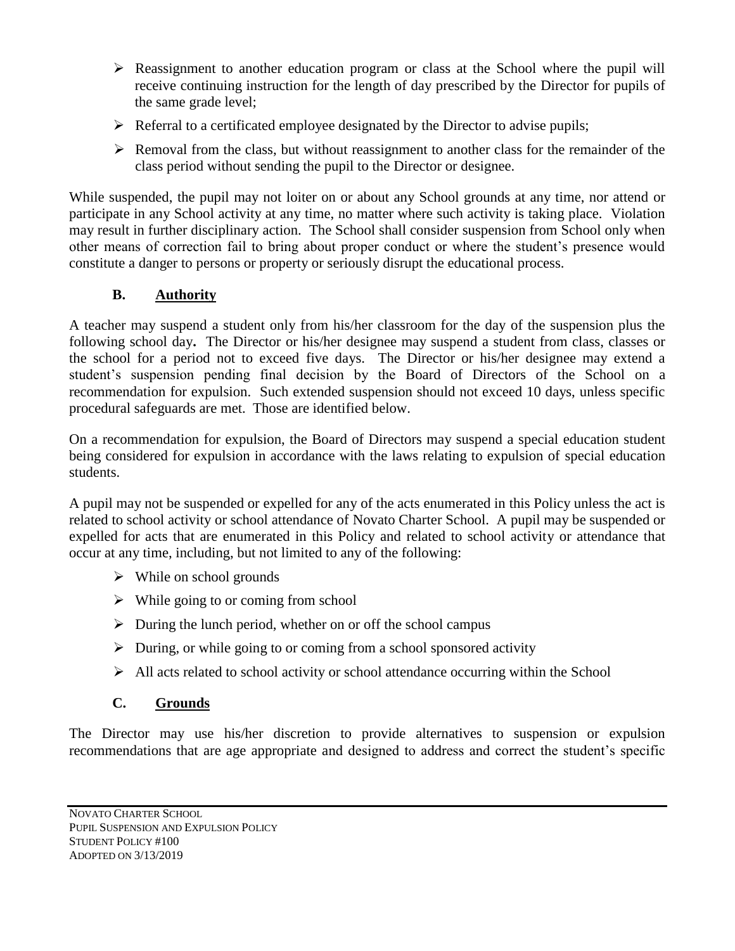- $\triangleright$  Reassignment to another education program or class at the School where the pupil will receive continuing instruction for the length of day prescribed by the Director for pupils of the same grade level;
- $\triangleright$  Referral to a certificated employee designated by the Director to advise pupils;
- $\triangleright$  Removal from the class, but without reassignment to another class for the remainder of the class period without sending the pupil to the Director or designee.

While suspended, the pupil may not loiter on or about any School grounds at any time, nor attend or participate in any School activity at any time, no matter where such activity is taking place. Violation may result in further disciplinary action. The School shall consider suspension from School only when other means of correction fail to bring about proper conduct or where the student's presence would constitute a danger to persons or property or seriously disrupt the educational process.

# **B. Authority**

A teacher may suspend a student only from his/her classroom for the day of the suspension plus the following school day**.** The Director or his/her designee may suspend a student from class, classes or the school for a period not to exceed five days. The Director or his/her designee may extend a student's suspension pending final decision by the Board of Directors of the School on a recommendation for expulsion. Such extended suspension should not exceed 10 days, unless specific procedural safeguards are met. Those are identified below.

On a recommendation for expulsion, the Board of Directors may suspend a special education student being considered for expulsion in accordance with the laws relating to expulsion of special education students.

A pupil may not be suspended or expelled for any of the acts enumerated in this Policy unless the act is related to school activity or school attendance of Novato Charter School. A pupil may be suspended or expelled for acts that are enumerated in this Policy and related to school activity or attendance that occur at any time, including, but not limited to any of the following:

- $\triangleright$  While on school grounds
- $\triangleright$  While going to or coming from school
- $\triangleright$  During the lunch period, whether on or off the school campus
- $\triangleright$  During, or while going to or coming from a school sponsored activity
- $\triangleright$  All acts related to school activity or school attendance occurring within the School

# **C. Grounds**

The Director may use his/her discretion to provide alternatives to suspension or expulsion recommendations that are age appropriate and designed to address and correct the student's specific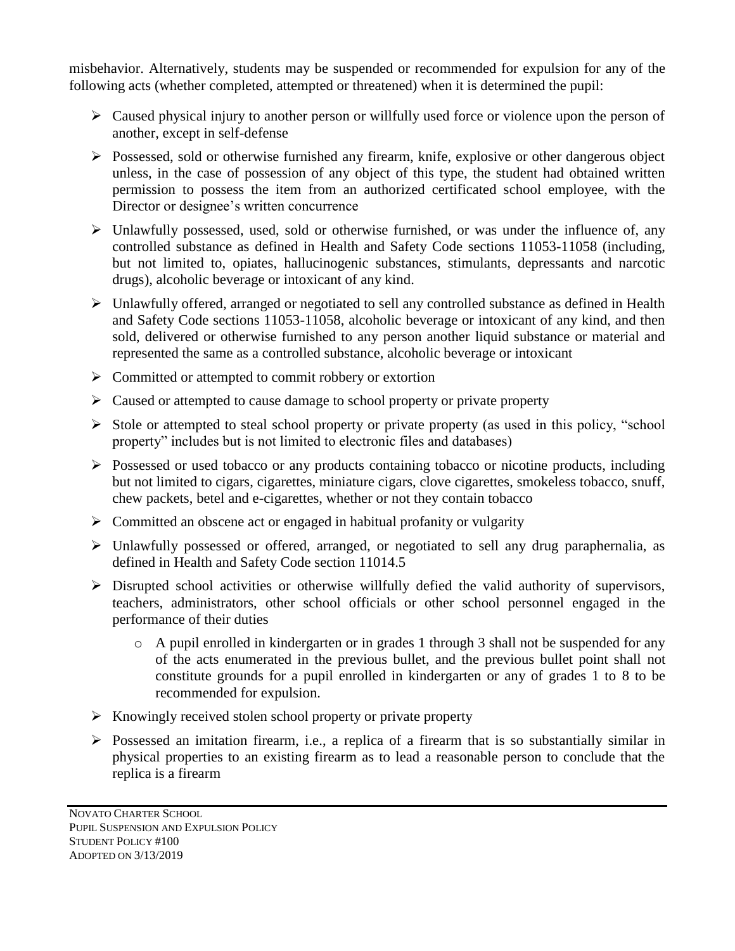misbehavior. Alternatively, students may be suspended or recommended for expulsion for any of the following acts (whether completed, attempted or threatened) when it is determined the pupil:

- $\triangleright$  Caused physical injury to another person or willfully used force or violence upon the person of another, except in self-defense
- $\triangleright$  Possessed, sold or otherwise furnished any firearm, knife, explosive or other dangerous object unless, in the case of possession of any object of this type, the student had obtained written permission to possess the item from an authorized certificated school employee, with the Director or designee's written concurrence
- $\triangleright$  Unlawfully possessed, used, sold or otherwise furnished, or was under the influence of, any controlled substance as defined in Health and Safety Code sections 11053-11058 (including, but not limited to, opiates, hallucinogenic substances, stimulants, depressants and narcotic drugs), alcoholic beverage or intoxicant of any kind.
- $\triangleright$  Unlawfully offered, arranged or negotiated to sell any controlled substance as defined in Health and Safety Code sections 11053-11058, alcoholic beverage or intoxicant of any kind, and then sold, delivered or otherwise furnished to any person another liquid substance or material and represented the same as a controlled substance, alcoholic beverage or intoxicant
- $\triangleright$  Committed or attempted to commit robbery or extortion
- $\triangleright$  Caused or attempted to cause damage to school property or private property
- $\triangleright$  Stole or attempted to steal school property or private property (as used in this policy, "school" property" includes but is not limited to electronic files and databases)
- $\triangleright$  Possessed or used tobacco or any products containing tobacco or nicotine products, including but not limited to cigars, cigarettes, miniature cigars, clove cigarettes, smokeless tobacco, snuff, chew packets, betel and e-cigarettes, whether or not they contain tobacco
- $\triangleright$  Committed an obscene act or engaged in habitual profanity or vulgarity
- $\triangleright$  Unlawfully possessed or offered, arranged, or negotiated to sell any drug paraphernalia, as defined in Health and Safety Code section 11014.5
- $\triangleright$  Disrupted school activities or otherwise willfully defied the valid authority of supervisors, teachers, administrators, other school officials or other school personnel engaged in the performance of their duties
	- o A pupil enrolled in kindergarten or in grades 1 through 3 shall not be suspended for any of the acts enumerated in the previous bullet, and the previous bullet point shall not constitute grounds for a pupil enrolled in kindergarten or any of grades 1 to 8 to be recommended for expulsion.
- $\triangleright$  Knowingly received stolen school property or private property
- $\triangleright$  Possessed an imitation firearm, i.e., a replica of a firearm that is so substantially similar in physical properties to an existing firearm as to lead a reasonable person to conclude that the replica is a firearm

NOVATO CHARTER SCHOOL PUPIL SUSPENSION AND EXPULSION POLICY STUDENT POLICY #100 ADOPTED ON 3/13/2019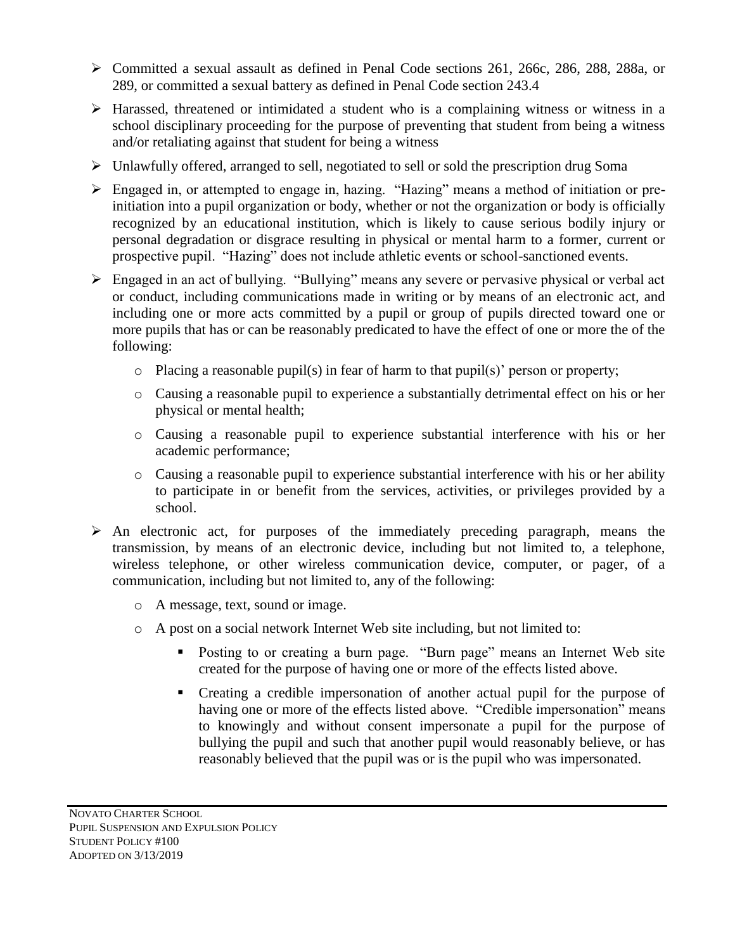- Committed a sexual assault as defined in Penal Code sections 261, 266c, 286, 288, 288a, or 289, or committed a sexual battery as defined in Penal Code section 243.4
- Harassed, threatened or intimidated a student who is a complaining witness or witness in a school disciplinary proceeding for the purpose of preventing that student from being a witness and/or retaliating against that student for being a witness
- $\triangleright$  Unlawfully offered, arranged to sell, negotiated to sell or sold the prescription drug Soma
- Engaged in, or attempted to engage in, hazing. "Hazing" means a method of initiation or preinitiation into a pupil organization or body, whether or not the organization or body is officially recognized by an educational institution, which is likely to cause serious bodily injury or personal degradation or disgrace resulting in physical or mental harm to a former, current or prospective pupil. "Hazing" does not include athletic events or school-sanctioned events.
- Engaged in an act of bullying. "Bullying" means any severe or pervasive physical or verbal act or conduct, including communications made in writing or by means of an electronic act, and including one or more acts committed by a pupil or group of pupils directed toward one or more pupils that has or can be reasonably predicated to have the effect of one or more the of the following:
	- o Placing a reasonable pupil(s) in fear of harm to that pupil(s)' person or property;
	- o Causing a reasonable pupil to experience a substantially detrimental effect on his or her physical or mental health;
	- o Causing a reasonable pupil to experience substantial interference with his or her academic performance;
	- o Causing a reasonable pupil to experience substantial interference with his or her ability to participate in or benefit from the services, activities, or privileges provided by a school.
- $\triangleright$  An electronic act, for purposes of the immediately preceding paragraph, means the transmission, by means of an electronic device, including but not limited to, a telephone, wireless telephone, or other wireless communication device, computer, or pager, of a communication, including but not limited to, any of the following:
	- o A message, text, sound or image.
	- o A post on a social network Internet Web site including, but not limited to:
		- Posting to or creating a burn page. "Burn page" means an Internet Web site created for the purpose of having one or more of the effects listed above.
		- Creating a credible impersonation of another actual pupil for the purpose of having one or more of the effects listed above. "Credible impersonation" means to knowingly and without consent impersonate a pupil for the purpose of bullying the pupil and such that another pupil would reasonably believe, or has reasonably believed that the pupil was or is the pupil who was impersonated.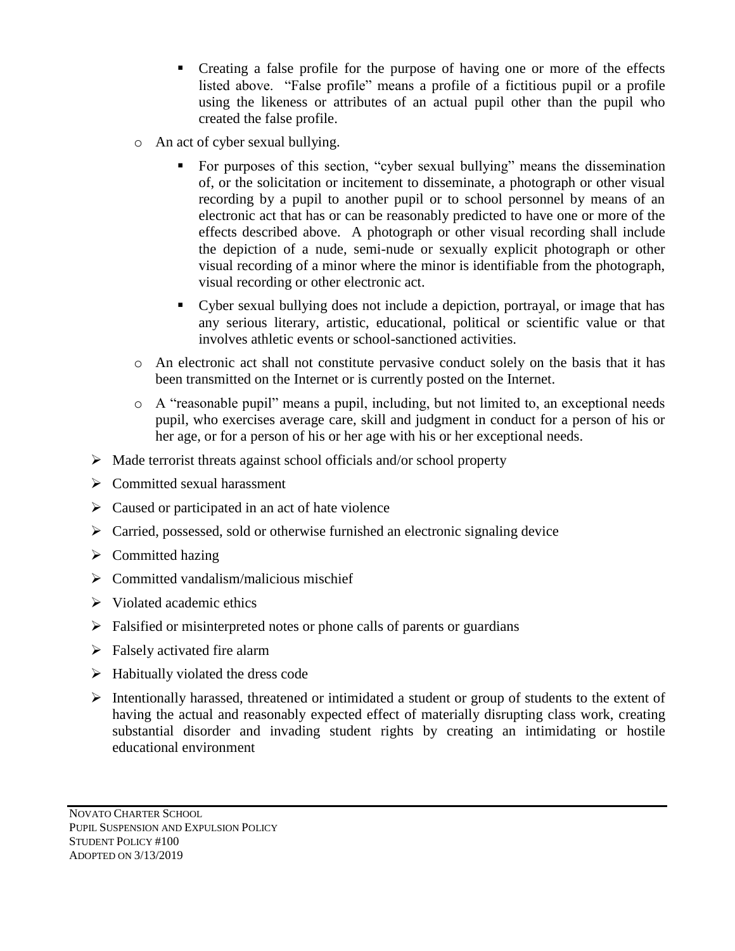- Creating a false profile for the purpose of having one or more of the effects listed above. "False profile" means a profile of a fictitious pupil or a profile using the likeness or attributes of an actual pupil other than the pupil who created the false profile.
- o An act of cyber sexual bullying.
	- For purposes of this section, "cyber sexual bullying" means the dissemination of, or the solicitation or incitement to disseminate, a photograph or other visual recording by a pupil to another pupil or to school personnel by means of an electronic act that has or can be reasonably predicted to have one or more of the effects described above. A photograph or other visual recording shall include the depiction of a nude, semi-nude or sexually explicit photograph or other visual recording of a minor where the minor is identifiable from the photograph, visual recording or other electronic act.
	- Cyber sexual bullying does not include a depiction, portrayal, or image that has any serious literary, artistic, educational, political or scientific value or that involves athletic events or school-sanctioned activities.
- o An electronic act shall not constitute pervasive conduct solely on the basis that it has been transmitted on the Internet or is currently posted on the Internet.
- o A "reasonable pupil" means a pupil, including, but not limited to, an exceptional needs pupil, who exercises average care, skill and judgment in conduct for a person of his or her age, or for a person of his or her age with his or her exceptional needs.
- $\triangleright$  Made terrorist threats against school officials and/or school property
- $\triangleright$  Committed sexual harassment
- $\triangleright$  Caused or participated in an act of hate violence
- $\triangleright$  Carried, possessed, sold or otherwise furnished an electronic signaling device
- $\triangleright$  Committed hazing
- $\triangleright$  Committed vandalism/malicious mischief
- $\triangleright$  Violated academic ethics
- $\triangleright$  Falsified or misinterpreted notes or phone calls of parents or guardians
- $\triangleright$  Falsely activated fire alarm
- $\triangleright$  Habitually violated the dress code
- $\triangleright$  Intentionally harassed, threatened or intimidated a student or group of students to the extent of having the actual and reasonably expected effect of materially disrupting class work, creating substantial disorder and invading student rights by creating an intimidating or hostile educational environment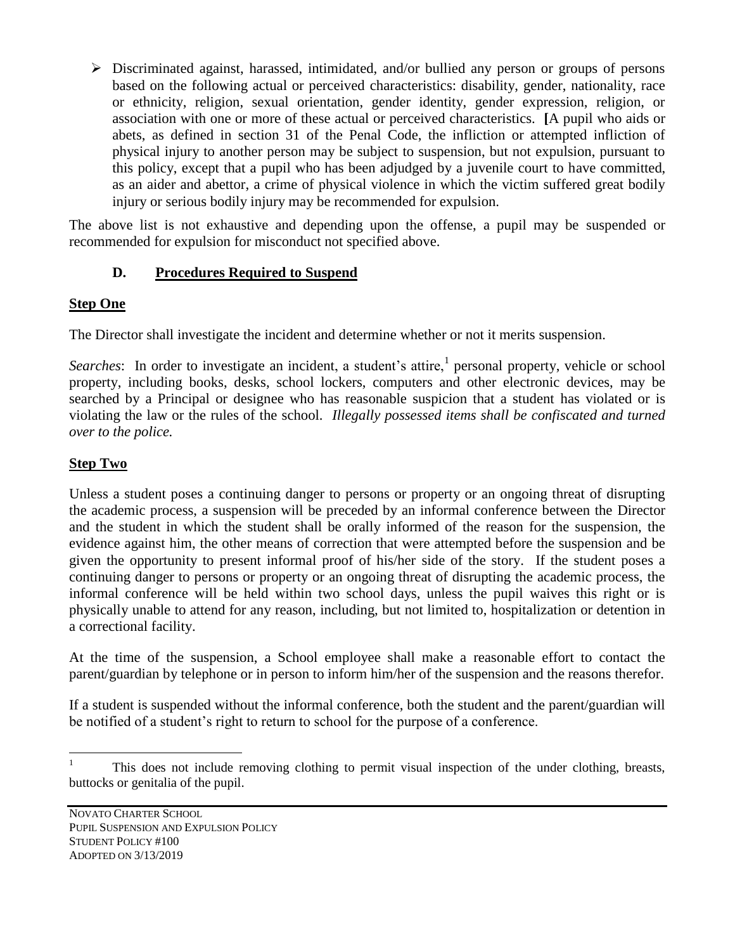$\triangleright$  Discriminated against, harassed, intimidated, and/or bullied any person or groups of persons based on the following actual or perceived characteristics: disability, gender, nationality, race or ethnicity, religion, sexual orientation, gender identity, gender expression, religion, or association with one or more of these actual or perceived characteristics. **[**A pupil who aids or abets, as defined in section 31 of the Penal Code, the infliction or attempted infliction of physical injury to another person may be subject to suspension, but not expulsion, pursuant to this policy, except that a pupil who has been adjudged by a juvenile court to have committed, as an aider and abettor, a crime of physical violence in which the victim suffered great bodily injury or serious bodily injury may be recommended for expulsion.

The above list is not exhaustive and depending upon the offense, a pupil may be suspended or recommended for expulsion for misconduct not specified above.

# **D. Procedures Required to Suspend**

## **Step One**

The Director shall investigate the incident and determine whether or not it merits suspension.

Searches: In order to investigate an incident, a student's attire,<sup>1</sup> personal property, vehicle or school property, including books, desks, school lockers, computers and other electronic devices, may be searched by a Principal or designee who has reasonable suspicion that a student has violated or is violating the law or the rules of the school. *Illegally possessed items shall be confiscated and turned over to the police.*

# **Step Two**

Unless a student poses a continuing danger to persons or property or an ongoing threat of disrupting the academic process, a suspension will be preceded by an informal conference between the Director and the student in which the student shall be orally informed of the reason for the suspension, the evidence against him, the other means of correction that were attempted before the suspension and be given the opportunity to present informal proof of his/her side of the story. If the student poses a continuing danger to persons or property or an ongoing threat of disrupting the academic process, the informal conference will be held within two school days, unless the pupil waives this right or is physically unable to attend for any reason, including, but not limited to, hospitalization or detention in a correctional facility.

At the time of the suspension, a School employee shall make a reasonable effort to contact the parent/guardian by telephone or in person to inform him/her of the suspension and the reasons therefor.

If a student is suspended without the informal conference, both the student and the parent/guardian will be notified of a student's right to return to school for the purpose of a conference.

 $\mathbf{1}$ <sup>1</sup> This does not include removing clothing to permit visual inspection of the under clothing, breasts, buttocks or genitalia of the pupil.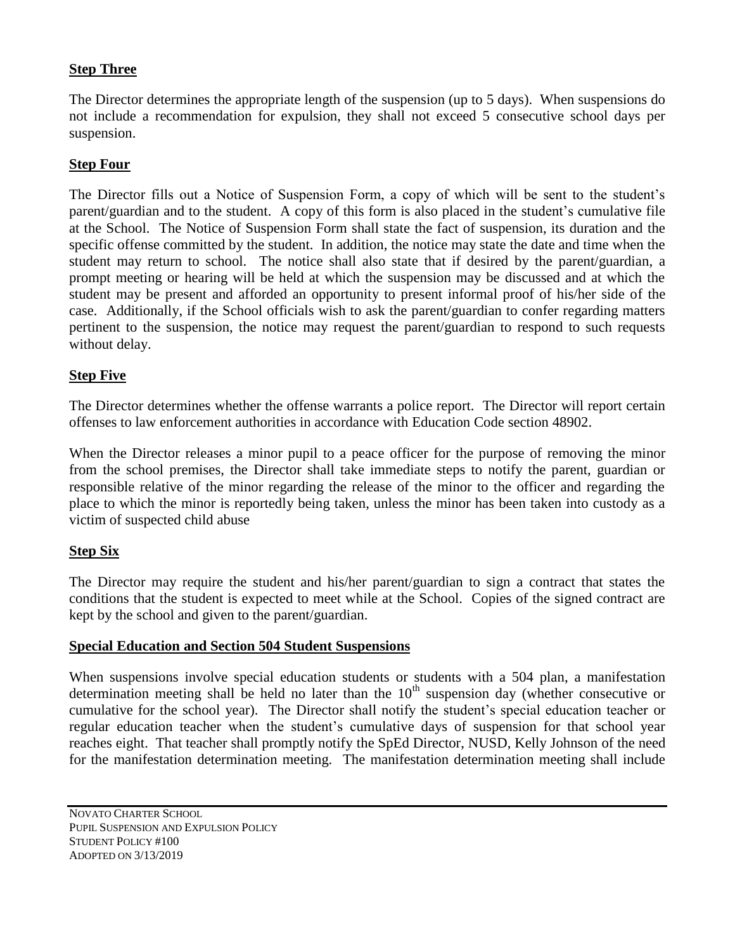## **Step Three**

The Director determines the appropriate length of the suspension (up to 5 days). When suspensions do not include a recommendation for expulsion, they shall not exceed 5 consecutive school days per suspension.

#### **Step Four**

The Director fills out a Notice of Suspension Form, a copy of which will be sent to the student's parent/guardian and to the student. A copy of this form is also placed in the student's cumulative file at the School. The Notice of Suspension Form shall state the fact of suspension, its duration and the specific offense committed by the student. In addition, the notice may state the date and time when the student may return to school. The notice shall also state that if desired by the parent/guardian, a prompt meeting or hearing will be held at which the suspension may be discussed and at which the student may be present and afforded an opportunity to present informal proof of his/her side of the case. Additionally, if the School officials wish to ask the parent/guardian to confer regarding matters pertinent to the suspension, the notice may request the parent/guardian to respond to such requests without delay.

#### **Step Five**

The Director determines whether the offense warrants a police report. The Director will report certain offenses to law enforcement authorities in accordance with Education Code section 48902.

When the Director releases a minor pupil to a peace officer for the purpose of removing the minor from the school premises, the Director shall take immediate steps to notify the parent, guardian or responsible relative of the minor regarding the release of the minor to the officer and regarding the place to which the minor is reportedly being taken, unless the minor has been taken into custody as a victim of suspected child abuse

#### **Step Six**

The Director may require the student and his/her parent/guardian to sign a contract that states the conditions that the student is expected to meet while at the School. Copies of the signed contract are kept by the school and given to the parent/guardian.

#### **Special Education and Section 504 Student Suspensions**

When suspensions involve special education students or students with a 504 plan, a manifestation determination meeting shall be held no later than the  $10<sup>th</sup>$  suspension day (whether consecutive or cumulative for the school year). The Director shall notify the student's special education teacher or regular education teacher when the student's cumulative days of suspension for that school year reaches eight. That teacher shall promptly notify the SpEd Director, NUSD, Kelly Johnson of the need for the manifestation determination meeting. The manifestation determination meeting shall include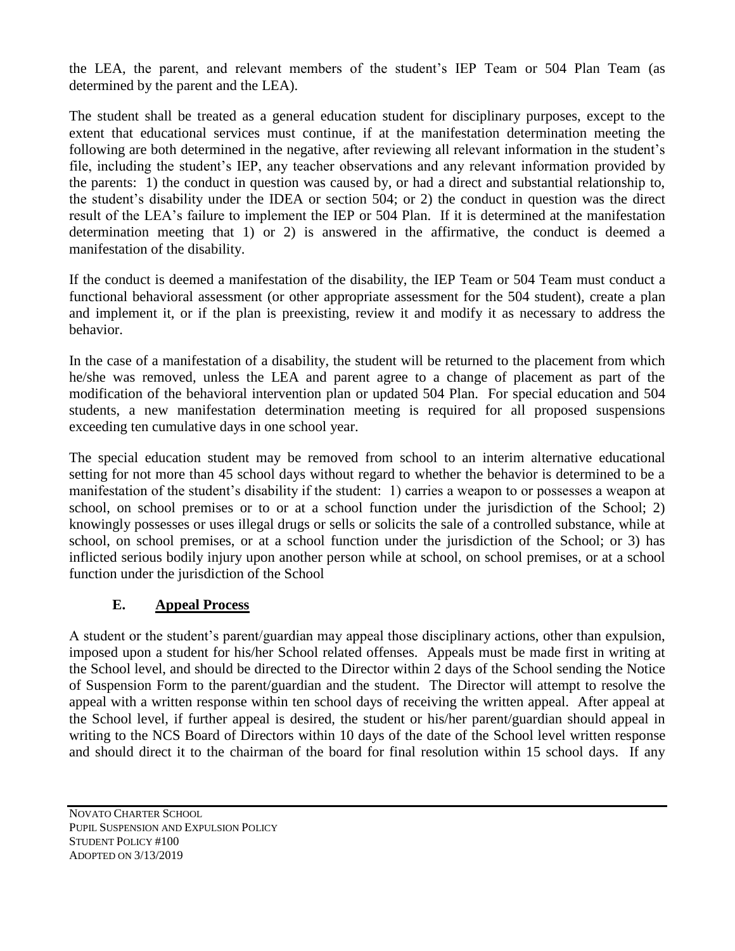the LEA, the parent, and relevant members of the student's IEP Team or 504 Plan Team (as determined by the parent and the LEA).

The student shall be treated as a general education student for disciplinary purposes, except to the extent that educational services must continue, if at the manifestation determination meeting the following are both determined in the negative, after reviewing all relevant information in the student's file, including the student's IEP, any teacher observations and any relevant information provided by the parents: 1) the conduct in question was caused by, or had a direct and substantial relationship to, the student's disability under the IDEA or section 504; or 2) the conduct in question was the direct result of the LEA's failure to implement the IEP or 504 Plan. If it is determined at the manifestation determination meeting that 1) or 2) is answered in the affirmative, the conduct is deemed a manifestation of the disability.

If the conduct is deemed a manifestation of the disability, the IEP Team or 504 Team must conduct a functional behavioral assessment (or other appropriate assessment for the 504 student), create a plan and implement it, or if the plan is preexisting, review it and modify it as necessary to address the behavior.

In the case of a manifestation of a disability, the student will be returned to the placement from which he/she was removed, unless the LEA and parent agree to a change of placement as part of the modification of the behavioral intervention plan or updated 504 Plan. For special education and 504 students, a new manifestation determination meeting is required for all proposed suspensions exceeding ten cumulative days in one school year.

The special education student may be removed from school to an interim alternative educational setting for not more than 45 school days without regard to whether the behavior is determined to be a manifestation of the student's disability if the student: 1) carries a weapon to or possesses a weapon at school, on school premises or to or at a school function under the jurisdiction of the School; 2) knowingly possesses or uses illegal drugs or sells or solicits the sale of a controlled substance, while at school, on school premises, or at a school function under the jurisdiction of the School; or 3) has inflicted serious bodily injury upon another person while at school, on school premises, or at a school function under the jurisdiction of the School

## **E. Appeal Process**

A student or the student's parent/guardian may appeal those disciplinary actions, other than expulsion, imposed upon a student for his/her School related offenses. Appeals must be made first in writing at the School level, and should be directed to the Director within 2 days of the School sending the Notice of Suspension Form to the parent/guardian and the student. The Director will attempt to resolve the appeal with a written response within ten school days of receiving the written appeal. After appeal at the School level, if further appeal is desired, the student or his/her parent/guardian should appeal in writing to the NCS Board of Directors within 10 days of the date of the School level written response and should direct it to the chairman of the board for final resolution within 15 school days. If any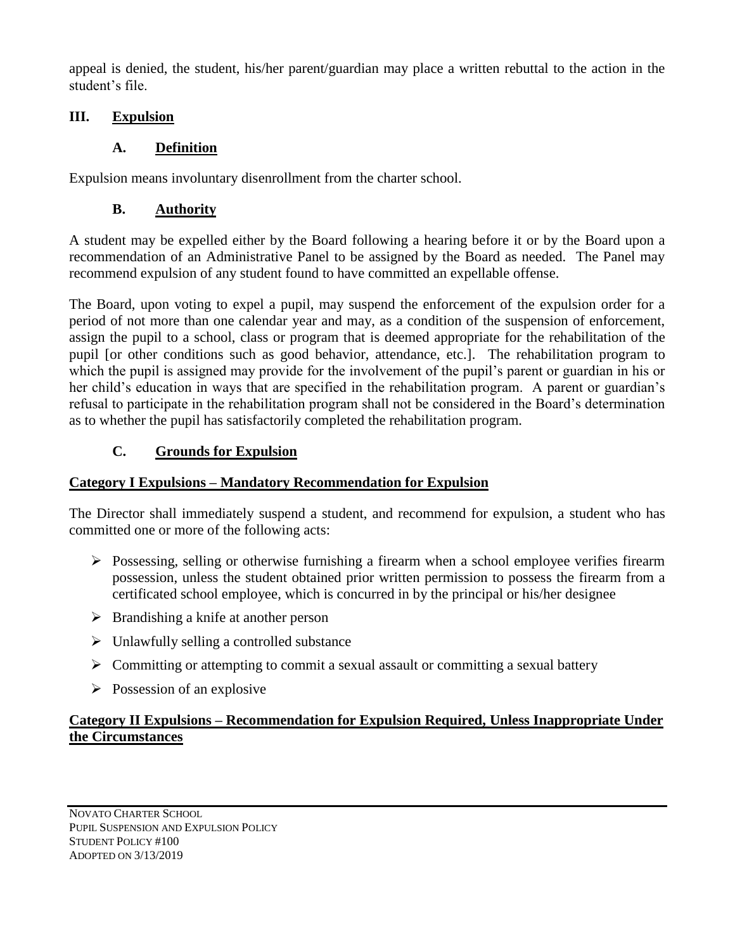appeal is denied, the student, his/her parent/guardian may place a written rebuttal to the action in the student's file.

## **III. Expulsion**

## **A. Definition**

Expulsion means involuntary disenrollment from the charter school.

## **B. Authority**

A student may be expelled either by the Board following a hearing before it or by the Board upon a recommendation of an Administrative Panel to be assigned by the Board as needed. The Panel may recommend expulsion of any student found to have committed an expellable offense.

The Board, upon voting to expel a pupil, may suspend the enforcement of the expulsion order for a period of not more than one calendar year and may, as a condition of the suspension of enforcement, assign the pupil to a school, class or program that is deemed appropriate for the rehabilitation of the pupil [or other conditions such as good behavior, attendance, etc.]. The rehabilitation program to which the pupil is assigned may provide for the involvement of the pupil's parent or guardian in his or her child's education in ways that are specified in the rehabilitation program. A parent or guardian's refusal to participate in the rehabilitation program shall not be considered in the Board's determination as to whether the pupil has satisfactorily completed the rehabilitation program.

## **C. Grounds for Expulsion**

#### **Category I Expulsions – Mandatory Recommendation for Expulsion**

The Director shall immediately suspend a student, and recommend for expulsion, a student who has committed one or more of the following acts:

- $\triangleright$  Possessing, selling or otherwise furnishing a firearm when a school employee verifies firearm possession, unless the student obtained prior written permission to possess the firearm from a certificated school employee, which is concurred in by the principal or his/her designee
- $\triangleright$  Brandishing a knife at another person
- $\triangleright$  Unlawfully selling a controlled substance
- $\triangleright$  Committing or attempting to commit a sexual assault or committing a sexual battery
- $\triangleright$  Possession of an explosive

## **Category II Expulsions – Recommendation for Expulsion Required, Unless Inappropriate Under the Circumstances**

NOVATO CHARTER SCHOOL PUPIL SUSPENSION AND EXPULSION POLICY STUDENT POLICY #100 ADOPTED ON 3/13/2019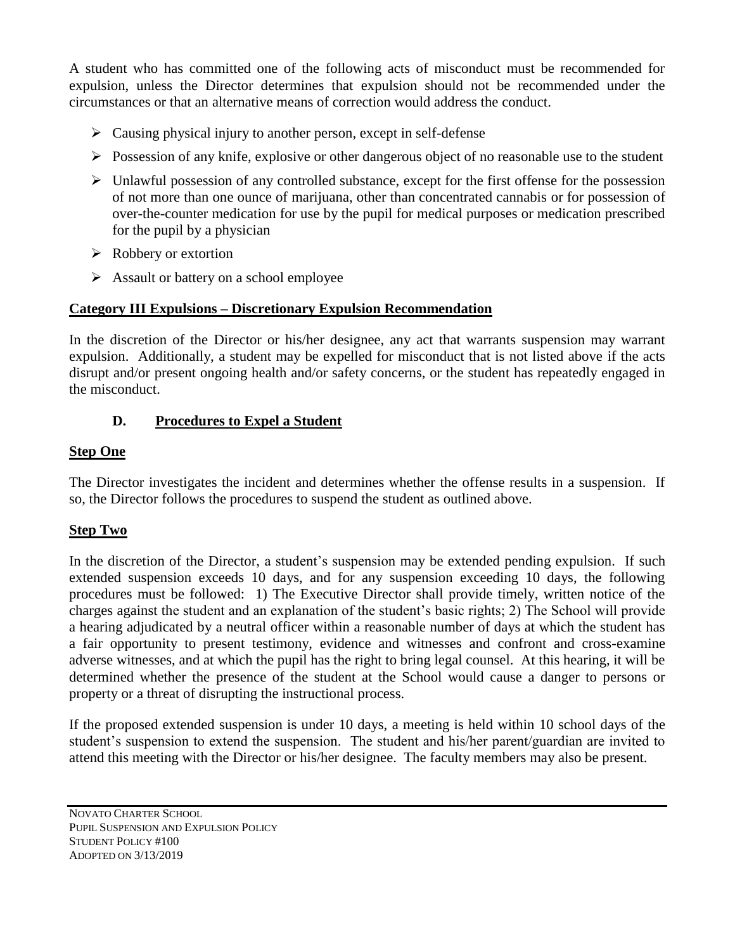A student who has committed one of the following acts of misconduct must be recommended for expulsion, unless the Director determines that expulsion should not be recommended under the circumstances or that an alternative means of correction would address the conduct.

- $\triangleright$  Causing physical injury to another person, except in self-defense
- $\triangleright$  Possession of any knife, explosive or other dangerous object of no reasonable use to the student
- $\triangleright$  Unlawful possession of any controlled substance, except for the first offense for the possession of not more than one ounce of marijuana, other than concentrated cannabis or for possession of over-the-counter medication for use by the pupil for medical purposes or medication prescribed for the pupil by a physician
- $\triangleright$  Robbery or extortion
- $\triangleright$  Assault or battery on a school employee

## **Category III Expulsions – Discretionary Expulsion Recommendation**

In the discretion of the Director or his/her designee, any act that warrants suspension may warrant expulsion. Additionally, a student may be expelled for misconduct that is not listed above if the acts disrupt and/or present ongoing health and/or safety concerns, or the student has repeatedly engaged in the misconduct.

## **D. Procedures to Expel a Student**

#### **Step One**

The Director investigates the incident and determines whether the offense results in a suspension. If so, the Director follows the procedures to suspend the student as outlined above.

## **Step Two**

In the discretion of the Director, a student's suspension may be extended pending expulsion. If such extended suspension exceeds 10 days, and for any suspension exceeding 10 days, the following procedures must be followed: 1) The Executive Director shall provide timely, written notice of the charges against the student and an explanation of the student's basic rights; 2) The School will provide a hearing adjudicated by a neutral officer within a reasonable number of days at which the student has a fair opportunity to present testimony, evidence and witnesses and confront and cross-examine adverse witnesses, and at which the pupil has the right to bring legal counsel. At this hearing, it will be determined whether the presence of the student at the School would cause a danger to persons or property or a threat of disrupting the instructional process.

If the proposed extended suspension is under 10 days, a meeting is held within 10 school days of the student's suspension to extend the suspension. The student and his/her parent/guardian are invited to attend this meeting with the Director or his/her designee. The faculty members may also be present.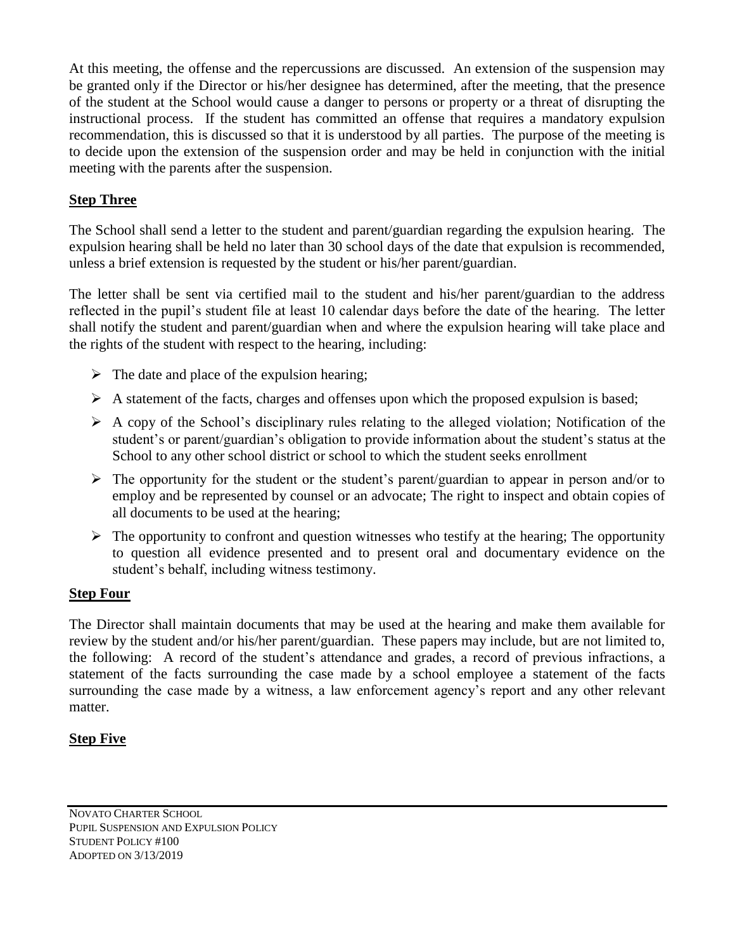At this meeting, the offense and the repercussions are discussed. An extension of the suspension may be granted only if the Director or his/her designee has determined, after the meeting, that the presence of the student at the School would cause a danger to persons or property or a threat of disrupting the instructional process. If the student has committed an offense that requires a mandatory expulsion recommendation, this is discussed so that it is understood by all parties. The purpose of the meeting is to decide upon the extension of the suspension order and may be held in conjunction with the initial meeting with the parents after the suspension.

## **Step Three**

The School shall send a letter to the student and parent/guardian regarding the expulsion hearing. The expulsion hearing shall be held no later than 30 school days of the date that expulsion is recommended, unless a brief extension is requested by the student or his/her parent/guardian.

The letter shall be sent via certified mail to the student and his/her parent/guardian to the address reflected in the pupil's student file at least 10 calendar days before the date of the hearing. The letter shall notify the student and parent/guardian when and where the expulsion hearing will take place and the rights of the student with respect to the hearing, including:

- $\triangleright$  The date and place of the expulsion hearing;
- $\triangleright$  A statement of the facts, charges and offenses upon which the proposed expulsion is based;
- $\triangleright$  A copy of the School's disciplinary rules relating to the alleged violation; Notification of the student's or parent/guardian's obligation to provide information about the student's status at the School to any other school district or school to which the student seeks enrollment
- $\triangleright$  The opportunity for the student or the student's parent/guardian to appear in person and/or to employ and be represented by counsel or an advocate; The right to inspect and obtain copies of all documents to be used at the hearing;
- $\triangleright$  The opportunity to confront and question witnesses who testify at the hearing; The opportunity to question all evidence presented and to present oral and documentary evidence on the student's behalf, including witness testimony.

#### **Step Four**

The Director shall maintain documents that may be used at the hearing and make them available for review by the student and/or his/her parent/guardian. These papers may include, but are not limited to, the following: A record of the student's attendance and grades, a record of previous infractions, a statement of the facts surrounding the case made by a school employee a statement of the facts surrounding the case made by a witness, a law enforcement agency's report and any other relevant matter.

#### **Step Five**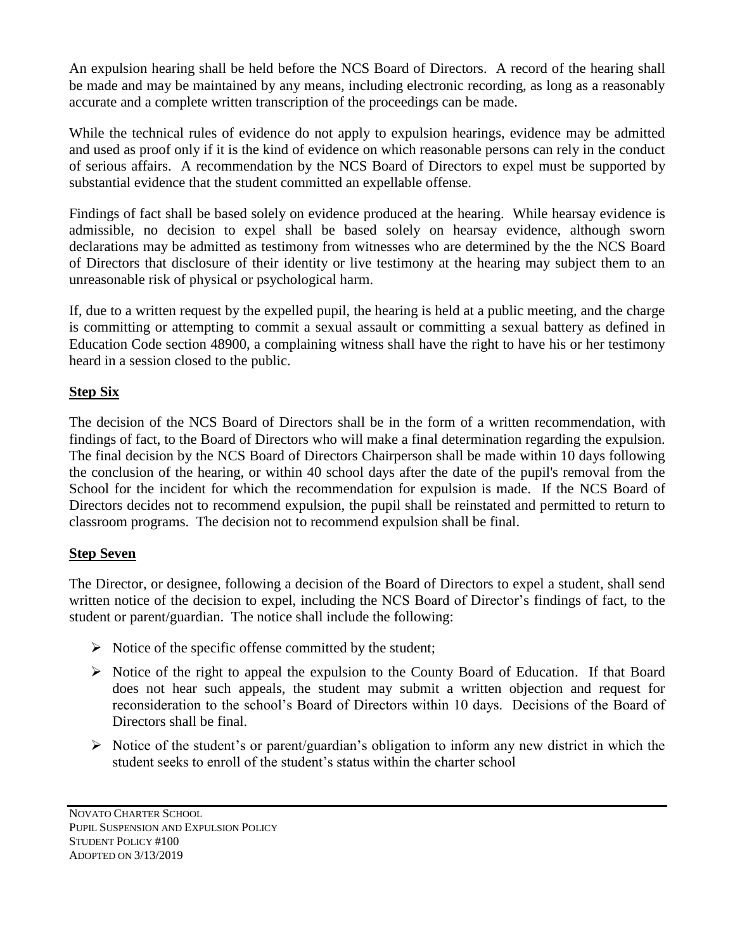An expulsion hearing shall be held before the NCS Board of Directors. A record of the hearing shall be made and may be maintained by any means, including electronic recording, as long as a reasonably accurate and a complete written transcription of the proceedings can be made.

While the technical rules of evidence do not apply to expulsion hearings, evidence may be admitted and used as proof only if it is the kind of evidence on which reasonable persons can rely in the conduct of serious affairs. A recommendation by the NCS Board of Directors to expel must be supported by substantial evidence that the student committed an expellable offense.

Findings of fact shall be based solely on evidence produced at the hearing. While hearsay evidence is admissible, no decision to expel shall be based solely on hearsay evidence, although sworn declarations may be admitted as testimony from witnesses who are determined by the the NCS Board of Directors that disclosure of their identity or live testimony at the hearing may subject them to an unreasonable risk of physical or psychological harm.

If, due to a written request by the expelled pupil, the hearing is held at a public meeting, and the charge is committing or attempting to commit a sexual assault or committing a sexual battery as defined in Education Code section 48900, a complaining witness shall have the right to have his or her testimony heard in a session closed to the public.

## **Step Six**

The decision of the NCS Board of Directors shall be in the form of a written recommendation, with findings of fact, to the Board of Directors who will make a final determination regarding the expulsion. The final decision by the NCS Board of Directors Chairperson shall be made within 10 days following the conclusion of the hearing, or within 40 school days after the date of the pupil's removal from the School for the incident for which the recommendation for expulsion is made. If the NCS Board of Directors decides not to recommend expulsion, the pupil shall be reinstated and permitted to return to classroom programs. The decision not to recommend expulsion shall be final.

#### **Step Seven**

The Director, or designee, following a decision of the Board of Directors to expel a student, shall send written notice of the decision to expel, including the NCS Board of Director's findings of fact, to the student or parent/guardian. The notice shall include the following:

- $\triangleright$  Notice of the specific offense committed by the student;
- $\triangleright$  Notice of the right to appeal the expulsion to the County Board of Education. If that Board does not hear such appeals, the student may submit a written objection and request for reconsideration to the school's Board of Directors within 10 days. Decisions of the Board of Directors shall be final.
- $\triangleright$  Notice of the student's or parent/guardian's obligation to inform any new district in which the student seeks to enroll of the student's status within the charter school